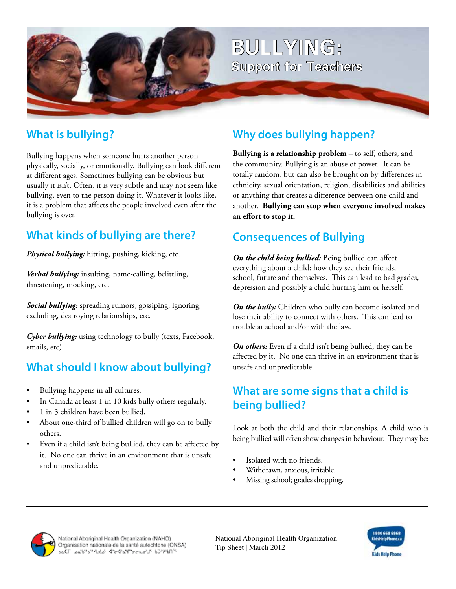

# **BULLYING: Support for Teachers**

## **What is bullying?**

Bullying happens when someone hurts another person physically, socially, or emotionally. Bullying can look different at different ages. Sometimes bullying can be obvious but usually it isn't. Often, it is very subtle and may not seem like bullying, even to the person doing it. Whatever it looks like, it is a problem that affects the people involved even after the bullying is over.

## **What kinds of bullying are there?**

*Physical bullying:* hitting, pushing, kicking, etc.

*Verbal bullying:* insulting, name-calling, belittling, threatening, mocking, etc.

*Social bullying:* spreading rumors, gossiping, ignoring, excluding, destroying relationships, etc.

*Cyber bullying:* using technology to bully (texts, Facebook, emails, etc).

## **What should I know about bullying?**

- Bullying happens in all cultures.
- In Canada at least 1 in 10 kids bully others regularly.
- 1 in 3 children have been bullied.
- About one-third of bullied children will go on to bully others.
- Even if a child isn't being bullied, they can be affected by it. No one can thrive in an environment that is unsafe and unpredictable.

## **Why does bullying happen?**

**Bullying is a relationship problem** – to self, others, and the community. Bullying is an abuse of power. It can be totally random, but can also be brought on by differences in ethnicity, sexual orientation, religion, disabilities and abilities or anything that creates a difference between one child and another. **Bullying can stop when everyone involved makes an effort to stop it.** 

### **Consequences of Bullying**

*On the child being bullied:* Being bullied can affect everything about a child: how they see their friends, school, future and themselves. This can lead to bad grades, depression and possibly a child hurting him or herself.

*On the bully:* Children who bully can become isolated and lose their ability to connect with others. This can lead to trouble at school and/or with the law.

*On others:* Even if a child isn't being bullied, they can be affected by it. No one can thrive in an environment that is unsafe and unpredictable.

#### **What are some signs that a child is being bullied?**

Look at both the child and their relationships. A child who is being bullied will often show changes in behaviour. They may be:

- Isolated with no friends.
- Withdrawn, anxious, irritable.
- Missing school; grades dropping.



National Aboriginal Health Organization Tip Sheet | March 2012